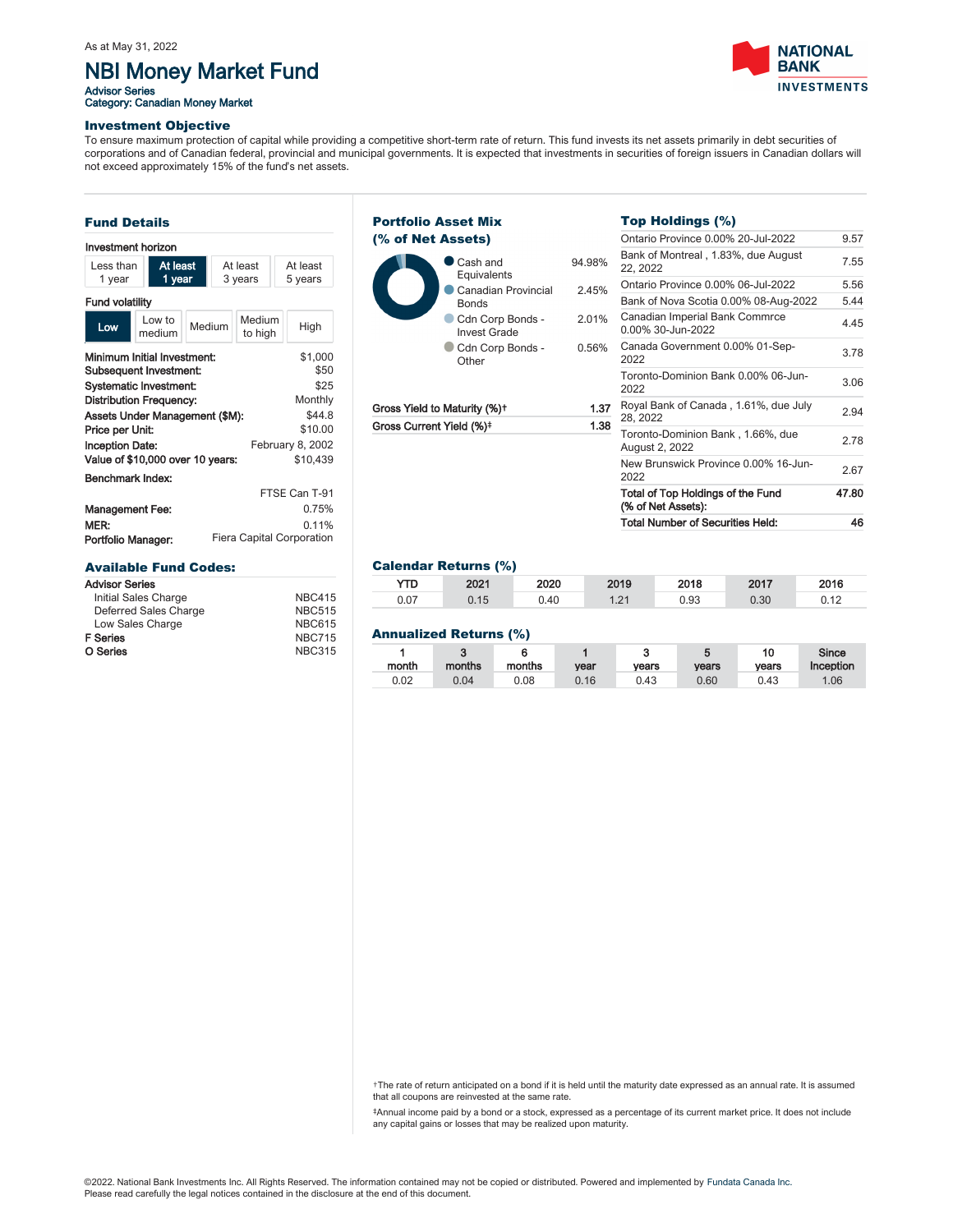# NBI Money Market Fund

Advisor Series<br>Category: Canadian Money Market



### Investment Objective

To ensure maximum protection of capital while providing a competitive short-term rate of return. This fund invests its net assets primarily in debt securities of corporations and of Canadian federal, provincial and municipal governments. It is expected that investments in securities of foreign issuers in Canadian dollars will not exceed approximately 15% of the fund's net assets.

#### Fund Details Minimum Initial Investment: Subsequent Investment: Systematic Investment: Distribution Frequency: Assets Under Management (\$M): Price per Unit: Inception Date: Value of \$10,000 over 10 years: \$1,000 \$50 \$25 Monthly \$44.8 \$10.00 February 8, 2002 \$10,439 Management Fee: MER:<br>Portfolio Manager: 0.75% 0.11% Fiera Capital Corporation Benchmark Index: FTSE Can T-91 Investment horizon Less than 1 year At least 1 ye At least 3 years At least 5 years Fund volatility  $\begin{array}{|c|c|}\n\hline\n\text{Low} & \text{Low to} \\
\text{modium}\n\end{array}$ Low to Medium Medium<br>medium to high to high High Available Fund Codes: Advisor Series Initial Sales Charge NBC415 Deferred Sales Charge NBC515

| Initial Sales Charge  | <b>NBC415</b> |
|-----------------------|---------------|
| Deferred Sales Charge | <b>NBC515</b> |
| Low Sales Charge      | <b>NBC615</b> |
| F Series              | <b>NBC715</b> |
| O Series              | <b>NBC315</b> |
|                       |               |

#### Cash and Equivalents 94.98% Canadian Provincial Bonds 2.45% Cdn Corp Bonds -Invest Grade 2.01% Cdn Corp Bonds -**Other** 0.56% Portfolio Asset Mix (% of Net Assets)

| Gross Yield to Maturity (%)+ | F<br>1.37 |  |
|------------------------------|-----------|--|
| Gross Current Yield (%)‡     | 1.38      |  |
|                              |           |  |

# Top Holdings (%)

|            | <b>Total Number of Securities Held:</b>                 | 46    |
|------------|---------------------------------------------------------|-------|
|            | Total of Top Holdings of the Fund<br>(% of Net Assets): | 47.80 |
|            | New Brunswick Province 0.00% 16-Jun-<br>2022            | 2.67  |
|            | Toronto-Dominion Bank, 1.66%, due<br>August 2, 2022     | 2.78  |
| .37<br>.38 | Royal Bank of Canada, 1.61%, due July<br>28, 2022       | 2.94  |
|            | Toronto-Dominion Bank 0.00% 06-Jun-<br>2022             | 3.06  |
| 3%         | Canada Government 0.00% 01-Sep-<br>2022                 | 3.78  |
| $\%$       | Canadian Imperial Bank Commrce<br>0.00% 30-Jun-2022     | 4.45  |
|            | Bank of Nova Scotia 0.00% 08-Aug-2022                   | 5.44  |
| 5%         | Ontario Province 0.00% 06-Jul-2022                      | 5.56  |
| 3%         | Bank of Montreal, 1.83%, due August<br>22, 2022         | 7.55  |
|            | Ontario Province 0.00% 20-Jul-2022                      | 9.57  |
|            |                                                         |       |

## Calendar Returns (%)

| YTD  | 2021 | 2020 | 2019 | 2018 | 2017 | 2016 |
|------|------|------|------|------|------|------|
| 0.07 | 0.15 | 0.40 | 1.21 | 0.93 | 0.30 | 0.12 |
|      |      |      |      |      |      |      |

### Annualized Returns (%)

| month | months | months | vear | ີ<br>vears | vears | 10<br>vears | Since<br>Inception |
|-------|--------|--------|------|------------|-------|-------------|--------------------|
| 0.02  | 0.04   | 0.08   | 0.16 | 0.43       | 0.60  | 0.43        | 1.06               |

†The rate of return anticipated on a bond if it is held until the maturity date expressed as an annual rate. It is assumed that all coupons are reinvested at the same rate.

‡Annual income paid by a bond or a stock, expressed as a percentage of its current market price. It does not include any capital gains or losses that may be realized upon maturity.